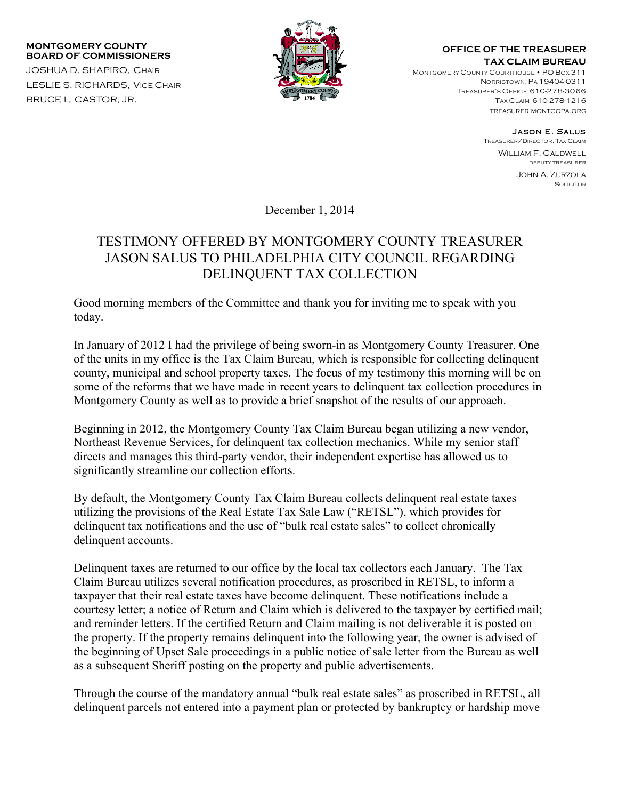## **MONTGOMERY COUNTY BOARD OF COMMISSIONERS**

JOSHUA D. SHAPIRO, CHAIR LESLIE S. RICHARDS, VICE CHAIR BRUCE L. CASTOR, JR.



## **OFFICE OF THE TREASURER TAX CLAIM BUREAU**

MONTGOMERY COUNTY COURTHOUSE • PO BOX 311 NORRISTOWN, PA 19404-0311 TREASURER'S OFFICE 610-278-3066 TAX CLAIM 610-278-1216 treasurer.montcopa.org

Jason E. Salus

TREASURER/DIRECTOR, TAX CLAIM William F. Caldwell DEPUTY TREASURER

> John A. Zurzola **SOLICITOR**

December 1, 2014

## TESTIMONY OFFERED BY MONTGOMERY COUNTY TREASURER JASON SALUS TO PHILADELPHIA CITY COUNCIL REGARDING DELINQUENT TAX COLLECTION

Good morning members of the Committee and thank you for inviting me to speak with you today.

In January of 2012 I had the privilege of being sworn-in as Montgomery County Treasurer. One of the units in my office is the Tax Claim Bureau, which is responsible for collecting delinquent county, municipal and school property taxes. The focus of my testimony this morning will be on some of the reforms that we have made in recent years to delinquent tax collection procedures in Montgomery County as well as to provide a brief snapshot of the results of our approach.

Beginning in 2012, the Montgomery County Tax Claim Bureau began utilizing a new vendor, Northeast Revenue Services, for delinquent tax collection mechanics. While my senior staff directs and manages this third-party vendor, their independent expertise has allowed us to significantly streamline our collection efforts.

By default, the Montgomery County Tax Claim Bureau collects delinquent real estate taxes utilizing the provisions of the Real Estate Tax Sale Law ("RETSL"), which provides for delinquent tax notifications and the use of "bulk real estate sales" to collect chronically delinquent accounts.

Delinquent taxes are returned to our office by the local tax collectors each January. The Tax Claim Bureau utilizes several notification procedures, as proscribed in RETSL, to inform a taxpayer that their real estate taxes have become delinquent. These notifications include a courtesy letter; a notice of Return and Claim which is delivered to the taxpayer by certified mail; and reminder letters. If the certified Return and Claim mailing is not deliverable it is posted on the property. If the property remains delinquent into the following year, the owner is advised of the beginning of Upset Sale proceedings in a public notice of sale letter from the Bureau as well as a subsequent Sheriff posting on the property and public advertisements.

Through the course of the mandatory annual "bulk real estate sales" as proscribed in RETSL, all delinquent parcels not entered into a payment plan or protected by bankruptcy or hardship move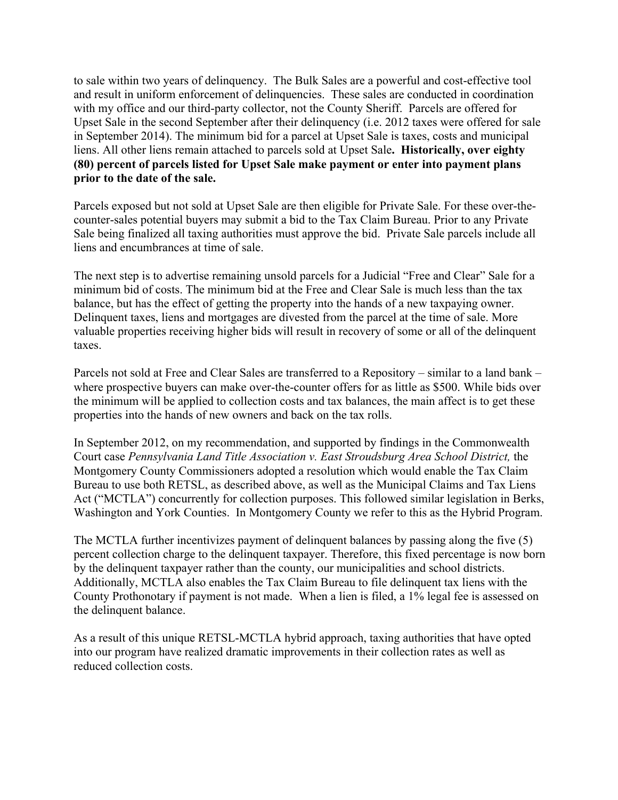to sale within two years of delinquency. The Bulk Sales are a powerful and cost-effective tool and result in uniform enforcement of delinquencies. These sales are conducted in coordination with my office and our third-party collector, not the County Sheriff. Parcels are offered for Upset Sale in the second September after their delinquency (i.e. 2012 taxes were offered for sale in September 2014). The minimum bid for a parcel at Upset Sale is taxes, costs and municipal liens. All other liens remain attached to parcels sold at Upset Sale**. Historically, over eighty (80) percent of parcels listed for Upset Sale make payment or enter into payment plans prior to the date of the sale.**

Parcels exposed but not sold at Upset Sale are then eligible for Private Sale. For these over-thecounter-sales potential buyers may submit a bid to the Tax Claim Bureau. Prior to any Private Sale being finalized all taxing authorities must approve the bid. Private Sale parcels include all liens and encumbrances at time of sale.

The next step is to advertise remaining unsold parcels for a Judicial "Free and Clear" Sale for a minimum bid of costs. The minimum bid at the Free and Clear Sale is much less than the tax balance, but has the effect of getting the property into the hands of a new taxpaying owner. Delinquent taxes, liens and mortgages are divested from the parcel at the time of sale. More valuable properties receiving higher bids will result in recovery of some or all of the delinquent taxes.

Parcels not sold at Free and Clear Sales are transferred to a Repository – similar to a land bank – where prospective buyers can make over-the-counter offers for as little as \$500. While bids over the minimum will be applied to collection costs and tax balances, the main affect is to get these properties into the hands of new owners and back on the tax rolls.

In September 2012, on my recommendation, and supported by findings in the Commonwealth Court case *Pennsylvania Land Title Association v. East Stroudsburg Area School District*, the Montgomery County Commissioners adopted a resolution which would enable the Tax Claim Bureau to use both RETSL, as described above, as well as the Municipal Claims and Tax Liens Act ("MCTLA") concurrently for collection purposes. This followed similar legislation in Berks, Washington and York Counties. In Montgomery County we refer to this as the Hybrid Program.

The MCTLA further incentivizes payment of delinquent balances by passing along the five (5) percent collection charge to the delinquent taxpayer. Therefore, this fixed percentage is now born by the delinquent taxpayer rather than the county, our municipalities and school districts. Additionally, MCTLA also enables the Tax Claim Bureau to file delinquent tax liens with the County Prothonotary if payment is not made. When a lien is filed, a 1% legal fee is assessed on the delinquent balance.

As a result of this unique RETSL-MCTLA hybrid approach, taxing authorities that have opted into our program have realized dramatic improvements in their collection rates as well as reduced collection costs.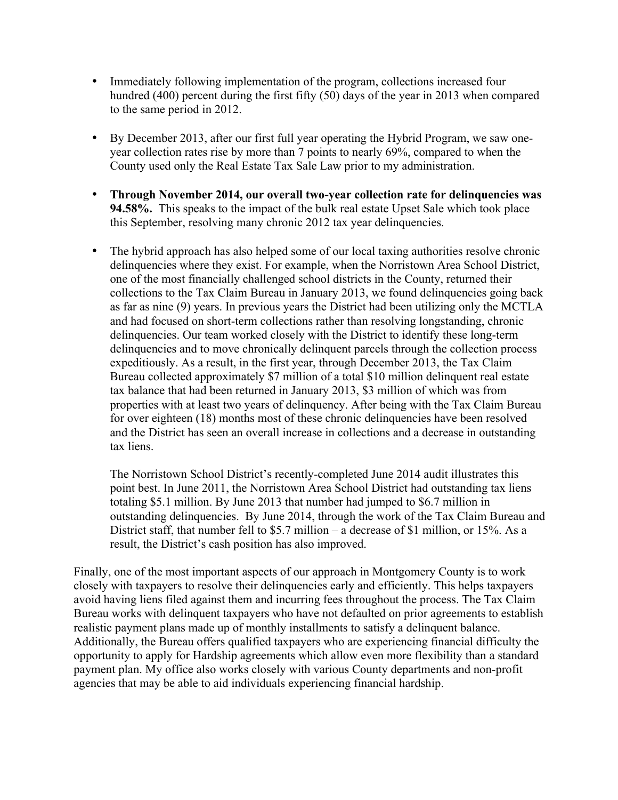- Immediately following implementation of the program, collections increased four hundred (400) percent during the first fifty (50) days of the year in 2013 when compared to the same period in 2012.
- By December 2013, after our first full year operating the Hybrid Program, we saw oneyear collection rates rise by more than 7 points to nearly 69%, compared to when the County used only the Real Estate Tax Sale Law prior to my administration.
- **Through November 2014, our overall two-year collection rate for delinquencies was 94.58%.** This speaks to the impact of the bulk real estate Upset Sale which took place this September, resolving many chronic 2012 tax year delinquencies.
- The hybrid approach has also helped some of our local taxing authorities resolve chronic delinquencies where they exist. For example, when the Norristown Area School District, one of the most financially challenged school districts in the County, returned their collections to the Tax Claim Bureau in January 2013, we found delinquencies going back as far as nine (9) years. In previous years the District had been utilizing only the MCTLA and had focused on short-term collections rather than resolving longstanding, chronic delinquencies. Our team worked closely with the District to identify these long-term delinquencies and to move chronically delinquent parcels through the collection process expeditiously. As a result, in the first year, through December 2013, the Tax Claim Bureau collected approximately \$7 million of a total \$10 million delinquent real estate tax balance that had been returned in January 2013, \$3 million of which was from properties with at least two years of delinquency. After being with the Tax Claim Bureau for over eighteen (18) months most of these chronic delinquencies have been resolved and the District has seen an overall increase in collections and a decrease in outstanding tax liens.

The Norristown School District's recently-completed June 2014 audit illustrates this point best. In June 2011, the Norristown Area School District had outstanding tax liens totaling \$5.1 million. By June 2013 that number had jumped to \$6.7 million in outstanding delinquencies. By June 2014, through the work of the Tax Claim Bureau and District staff, that number fell to \$5.7 million – a decrease of \$1 million, or 15%. As a result, the District's cash position has also improved.

Finally, one of the most important aspects of our approach in Montgomery County is to work closely with taxpayers to resolve their delinquencies early and efficiently. This helps taxpayers avoid having liens filed against them and incurring fees throughout the process. The Tax Claim Bureau works with delinquent taxpayers who have not defaulted on prior agreements to establish realistic payment plans made up of monthly installments to satisfy a delinquent balance. Additionally, the Bureau offers qualified taxpayers who are experiencing financial difficulty the opportunity to apply for Hardship agreements which allow even more flexibility than a standard payment plan. My office also works closely with various County departments and non-profit agencies that may be able to aid individuals experiencing financial hardship.